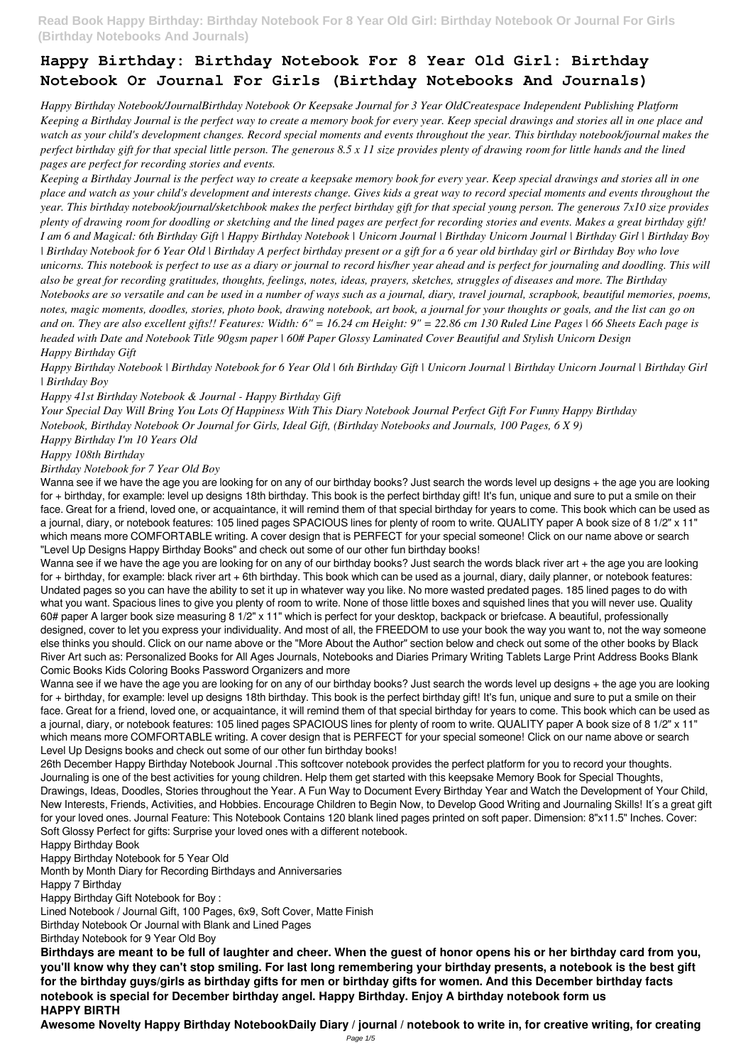# **Happy Birthday: Birthday Notebook For 8 Year Old Girl: Birthday Notebook Or Journal For Girls (Birthday Notebooks And Journals)**

*Happy Birthday Notebook/JournalBirthday Notebook Or Keepsake Journal for 3 Year OldCreatespace Independent Publishing Platform Keeping a Birthday Journal is the perfect way to create a memory book for every year. Keep special drawings and stories all in one place and watch as your child's development changes. Record special moments and events throughout the year. This birthday notebook/journal makes the perfect birthday gift for that special little person. The generous 8.5 x 11 size provides plenty of drawing room for little hands and the lined pages are perfect for recording stories and events.*

*Keeping a Birthday Journal is the perfect way to create a keepsake memory book for every year. Keep special drawings and stories all in one place and watch as your child's development and interests change. Gives kids a great way to record special moments and events throughout the year. This birthday notebook/journal/sketchbook makes the perfect birthday gift for that special young person. The generous 7x10 size provides plenty of drawing room for doodling or sketching and the lined pages are perfect for recording stories and events. Makes a great birthday gift! I am 6 and Magical: 6th Birthday Gift | Happy Birthday Notebook | Unicorn Journal | Birthday Unicorn Journal | Birthday Girl | Birthday Boy | Birthday Notebook for 6 Year Old | Birthday A perfect birthday present or a gift for a 6 year old birthday girl or Birthday Boy who love unicorns. This notebook is perfect to use as a diary or journal to record his/her year ahead and is perfect for journaling and doodling. This will also be great for recording gratitudes, thoughts, feelings, notes, ideas, prayers, sketches, struggles of diseases and more. The Birthday Notebooks are so versatile and can be used in a number of ways such as a journal, diary, travel journal, scrapbook, beautiful memories, poems, notes, magic moments, doodles, stories, photo book, drawing notebook, art book, a journal for your thoughts or goals, and the list can go on and on. They are also excellent gifts!! Features: Width: 6" = 16.24 cm Height: 9" = 22.86 cm 130 Ruled Line Pages | 66 Sheets Each page is headed with Date and Notebook Title 90gsm paper | 60# Paper Glossy Laminated Cover Beautiful and Stylish Unicorn Design Happy Birthday Gift*

*Happy Birthday Notebook | Birthday Notebook for 6 Year Old | 6th Birthday Gift | Unicorn Journal | Birthday Unicorn Journal | Birthday Girl | Birthday Boy*

*Happy 41st Birthday Notebook & Journal - Happy Birthday Gift*

*Your Special Day Will Bring You Lots Of Happiness With This Diary Notebook Journal Perfect Gift For Funny Happy Birthday Notebook, Birthday Notebook Or Journal for Girls, Ideal Gift, (Birthday Notebooks and Journals, 100 Pages, 6 X 9)*

*Happy Birthday I'm 10 Years Old*

*Happy 108th Birthday*

*Birthday Notebook for 7 Year Old Boy*

Wanna see if we have the age you are looking for on any of our birthday books? Just search the words level up designs + the age you are looking for + birthday, for example: level up designs 18th birthday. This book is the perfect birthday gift! It's fun, unique and sure to put a smile on their face. Great for a friend, loved one, or acquaintance, it will remind them of that special birthday for years to come. This book which can be used as a journal, diary, or notebook features: 105 lined pages SPACIOUS lines for plenty of room to write. QUALITY paper A book size of 8 1/2" x 11" which means more COMFORTABLE writing. A cover design that is PERFECT for your special someone! Click on our name above or search "Level Up Designs Happy Birthday Books" and check out some of our other fun birthday books!

Wanna see if we have the age you are looking for on any of our birthday books? Just search the words black river art + the age you are looking for + birthday, for example: black river art + 6th birthday. This book which can be used as a journal, diary, daily planner, or notebook features: Undated pages so you can have the ability to set it up in whatever way you like. No more wasted predated pages. 185 lined pages to do with what you want. Spacious lines to give you plenty of room to write. None of those little boxes and squished lines that you will never use. Quality 60# paper A larger book size measuring 8 1/2" x 11" which is perfect for your desktop, backpack or briefcase. A beautiful, professionally designed, cover to let you express your individuality. And most of all, the FREEDOM to use your book the way you want to, not the way someone else thinks you should. Click on our name above or the "More About the Author" section below and check out some of the other books by Black River Art such as: Personalized Books for All Ages Journals, Notebooks and Diaries Primary Writing Tablets Large Print Address Books Blank Comic Books Kids Coloring Books Password Organizers and more

Wanna see if we have the age you are looking for on any of our birthday books? Just search the words level up designs + the age you are looking for + birthday, for example: level up designs 18th birthday. This book is the perfect birthday gift! It's fun, unique and sure to put a smile on their face. Great for a friend, loved one, or acquaintance, it will remind them of that special birthday for years to come. This book which can be used as a journal, diary, or notebook features: 105 lined pages SPACIOUS lines for plenty of room to write. QUALITY paper A book size of 8 1/2" x 11" which means more COMFORTABLE writing. A cover design that is PERFECT for your special someone! Click on our name above or search Level Up Designs books and check out some of our other fun birthday books!

26th December Happy Birthday Notebook Journal .This softcover notebook provides the perfect platform for you to record your thoughts. Journaling is one of the best activities for young children. Help them get started with this keepsake Memory Book for Special Thoughts, Drawings, Ideas, Doodles, Stories throughout the Year. A Fun Way to Document Every Birthday Year and Watch the Development of Your Child, New Interests, Friends, Activities, and Hobbies. Encourage Children to Begin Now, to Develop Good Writing and Journaling Skills! It ́s a great gift for your loved ones. Journal Feature: This Notebook Contains 120 blank lined pages printed on soft paper. Dimension: 8"x11.5" Inches. Cover: Soft Glossy Perfect for gifts: Surprise your loved ones with a different notebook.

Happy Birthday Book

Happy Birthday Notebook for 5 Year Old

Month by Month Diary for Recording Birthdays and Anniversaries

Happy 7 Birthday

Happy Birthday Gift Notebook for Boy :

Lined Notebook / Journal Gift, 100 Pages, 6x9, Soft Cover, Matte Finish

Birthday Notebook Or Journal with Blank and Lined Pages

Birthday Notebook for 9 Year Old Boy

**Birthdays are meant to be full of laughter and cheer. When the guest of honor opens his or her birthday card from you, you'll know why they can't stop smiling. For last long remembering your birthday presents, a notebook is the best gift for the birthday guys/girls as birthday gifts for men or birthday gifts for women. And this December birthday facts notebook is special for December birthday angel. Happy Birthday. Enjoy A birthday notebook form us HAPPY BIRTH**

**Awesome Novelty Happy Birthday NotebookDaily Diary / journal / notebook to write in, for creative writing, for creating**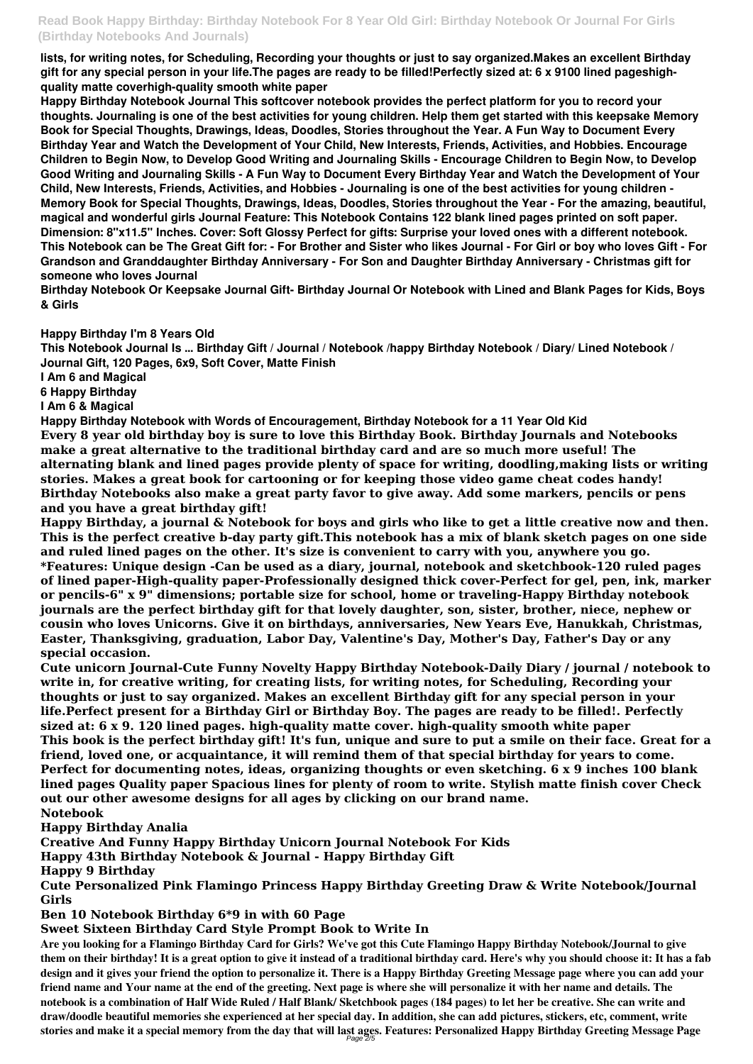**lists, for writing notes, for Scheduling, Recording your thoughts or just to say organized.Makes an excellent Birthday gift for any special person in your life.The pages are ready to be filled!Perfectly sized at: 6 x 9100 lined pageshighquality matte coverhigh-quality smooth white paper**

**Happy Birthday Notebook Journal This softcover notebook provides the perfect platform for you to record your thoughts. Journaling is one of the best activities for young children. Help them get started with this keepsake Memory Book for Special Thoughts, Drawings, Ideas, Doodles, Stories throughout the Year. A Fun Way to Document Every Birthday Year and Watch the Development of Your Child, New Interests, Friends, Activities, and Hobbies. Encourage Children to Begin Now, to Develop Good Writing and Journaling Skills - Encourage Children to Begin Now, to Develop Good Writing and Journaling Skills - A Fun Way to Document Every Birthday Year and Watch the Development of Your Child, New Interests, Friends, Activities, and Hobbies - Journaling is one of the best activities for young children - Memory Book for Special Thoughts, Drawings, Ideas, Doodles, Stories throughout the Year - For the amazing, beautiful, magical and wonderful girls Journal Feature: This Notebook Contains 122 blank lined pages printed on soft paper. Dimension: 8"x11.5" Inches. Cover: Soft Glossy Perfect for gifts: Surprise your loved ones with a different notebook. This Notebook can be The Great Gift for: - For Brother and Sister who likes Journal - For Girl or boy who loves Gift - For Grandson and Granddaughter Birthday Anniversary - For Son and Daughter Birthday Anniversary - Christmas gift for someone who loves Journal**

**Birthday Notebook Or Keepsake Journal Gift- Birthday Journal Or Notebook with Lined and Blank Pages for Kids, Boys & Girls**

### **Happy Birthday I'm 8 Years Old**

**This Notebook Journal Is ... Birthday Gift / Journal / Notebook /happy Birthday Notebook / Diary/ Lined Notebook / Journal Gift, 120 Pages, 6x9, Soft Cover, Matte Finish**

**I Am 6 and Magical**

**6 Happy Birthday**

**I Am 6 & Magical**

**Happy Birthday Notebook with Words of Encouragement, Birthday Notebook for a 11 Year Old Kid Every 8 year old birthday boy is sure to love this Birthday Book. Birthday Journals and Notebooks make a great alternative to the traditional birthday card and are so much more useful! The alternating blank and lined pages provide plenty of space for writing, doodling,making lists or writing stories. Makes a great book for cartooning or for keeping those video game cheat codes handy! Birthday Notebooks also make a great party favor to give away. Add some markers, pencils or pens and you have a great birthday gift!**

**Happy Birthday, a journal & Notebook for boys and girls who like to get a little creative now and then. This is the perfect creative b-day party gift.This notebook has a mix of blank sketch pages on one side and ruled lined pages on the other. It's size is convenient to carry with you, anywhere you go. \*Features: Unique design -Can be used as a diary, journal, notebook and sketchbook-120 ruled pages of lined paper-High-quality paper-Professionally designed thick cover-Perfect for gel, pen, ink, marker or pencils-6" x 9" dimensions; portable size for school, home or traveling-Happy Birthday notebook journals are the perfect birthday gift for that lovely daughter, son, sister, brother, niece, nephew or cousin who loves Unicorns. Give it on birthdays, anniversaries, New Years Eve, Hanukkah, Christmas, Easter, Thanksgiving, graduation, Labor Day, Valentine's Day, Mother's Day, Father's Day or any special occasion.**

**Cute unicorn Journal-Cute Funny Novelty Happy Birthday Notebook-Daily Diary / journal / notebook to write in, for creative writing, for creating lists, for writing notes, for Scheduling, Recording your thoughts or just to say organized. Makes an excellent Birthday gift for any special person in your life.Perfect present for a Birthday Girl or Birthday Boy. The pages are ready to be filled!. Perfectly sized at: 6 x 9. 120 lined pages. high-quality matte cover. high-quality smooth white paper This book is the perfect birthday gift! It's fun, unique and sure to put a smile on their face. Great for a friend, loved one, or acquaintance, it will remind them of that special birthday for years to come. Perfect for documenting notes, ideas, organizing thoughts or even sketching. 6 x 9 inches 100 blank lined pages Quality paper Spacious lines for plenty of room to write. Stylish matte finish cover Check out our other awesome designs for all ages by clicking on our brand name. Notebook Happy Birthday Analia Creative And Funny Happy Birthday Unicorn Journal Notebook For Kids Happy 43th Birthday Notebook & Journal - Happy Birthday Gift Happy 9 Birthday**

**Cute Personalized Pink Flamingo Princess Happy Birthday Greeting Draw & Write Notebook/Journal Girls**

## **Ben 10 Notebook Birthday 6\*9 in with 60 Page**

### **Sweet Sixteen Birthday Card Style Prompt Book to Write In**

**Are you looking for a Flamingo Birthday Card for Girls? We've got this Cute Flamingo Happy Birthday Notebook/Journal to give them on their birthday! It is a great option to give it instead of a traditional birthday card. Here's why you should choose it: It has a fab design and it gives your friend the option to personalize it. There is a Happy Birthday Greeting Message page where you can add your friend name and Your name at the end of the greeting. Next page is where she will personalize it with her name and details. The notebook is a combination of Half Wide Ruled / Half Blank/ Sketchbook pages (184 pages) to let her be creative. She can write and draw/doodle beautiful memories she experienced at her special day. In addition, she can add pictures, stickers, etc, comment, write stories and make it a special memory from the day that will last ages. Features: Personalized Happy Birthday Greeting Message Page** Page 2/5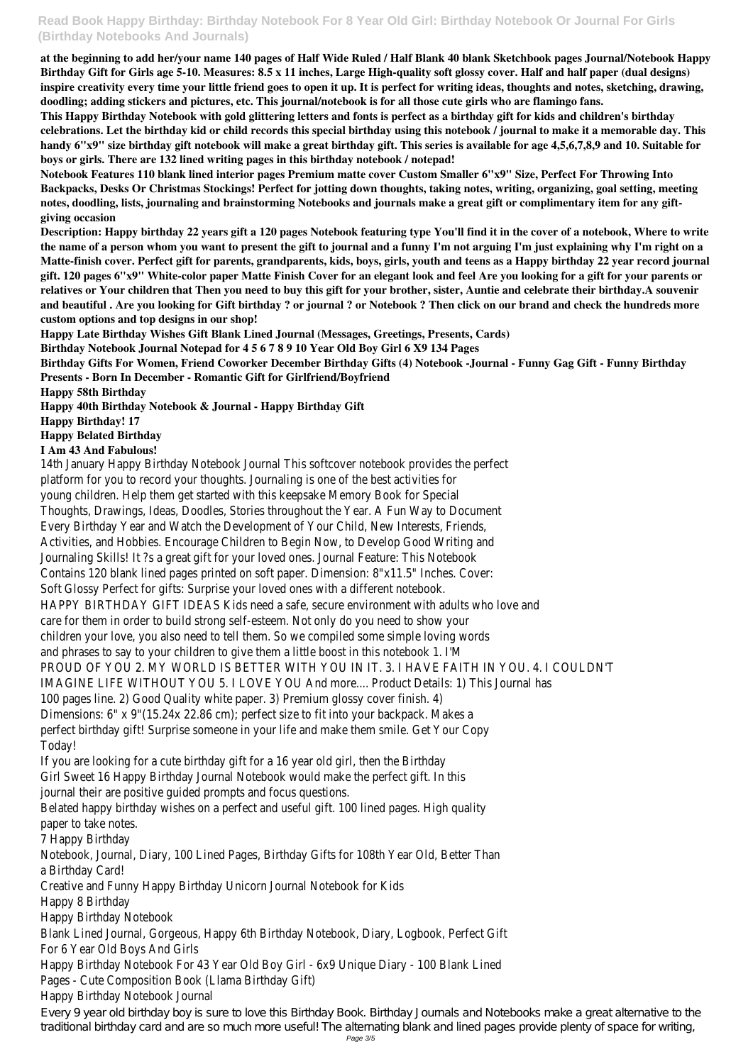# **Read Book Happy Birthday: Birthday Notebook For 8 Year Old Girl: Birthday Notebook Or Journal For Girls (Birthday Notebooks And Journals)**

**at the beginning to add her/your name 140 pages of Half Wide Ruled / Half Blank 40 blank Sketchbook pages Journal/Notebook Happy Birthday Gift for Girls age 5-10. Measures: 8.5 x 11 inches, Large High-quality soft glossy cover. Half and half paper (dual designs) inspire creativity every time your little friend goes to open it up. It is perfect for writing ideas, thoughts and notes, sketching, drawing, doodling; adding stickers and pictures, etc. This journal/notebook is for all those cute girls who are flamingo fans.**

**This Happy Birthday Notebook with gold glittering letters and fonts is perfect as a birthday gift for kids and children's birthday celebrations. Let the birthday kid or child records this special birthday using this notebook / journal to make it a memorable day. This handy 6"x9" size birthday gift notebook will make a great birthday gift. This series is available for age 4,5,6,7,8,9 and 10. Suitable for boys or girls. There are 132 lined writing pages in this birthday notebook / notepad!**

**Notebook Features 110 blank lined interior pages Premium matte cover Custom Smaller 6"x9" Size, Perfect For Throwing Into Backpacks, Desks Or Christmas Stockings! Perfect for jotting down thoughts, taking notes, writing, organizing, goal setting, meeting notes, doodling, lists, journaling and brainstorming Notebooks and journals make a great gift or complimentary item for any giftgiving occasion**

**Description: Happy birthday 22 years gift a 120 pages Notebook featuring type You'll find it in the cover of a notebook, Where to write the name of a person whom you want to present the gift to journal and a funny I'm not arguing I'm just explaining why I'm right on a Matte-finish cover. Perfect gift for parents, grandparents, kids, boys, girls, youth and teens as a Happy birthday 22 year record journal gift. 120 pages 6"x9" White-color paper Matte Finish Cover for an elegant look and feel Are you looking for a gift for your parents or relatives or Your children that Then you need to buy this gift for your brother, sister, Auntie and celebrate their birthday.A souvenir and beautiful . Are you looking for Gift birthday ? or journal ? or Notebook ? Then click on our brand and check the hundreds more custom options and top designs in our shop!**

**Happy Late Birthday Wishes Gift Blank Lined Journal (Messages, Greetings, Presents, Cards)**

**Birthday Notebook Journal Notepad for 4 5 6 7 8 9 10 Year Old Boy Girl 6 X9 134 Pages**

**Birthday Gifts For Women, Friend Coworker December Birthday Gifts (4) Notebook -Journal - Funny Gag Gift - Funny Birthday**

**Presents - Born In December - Romantic Gift for Girlfriend/Boyfriend**

**Happy 58th Birthday**

**Happy 40th Birthday Notebook & Journal - Happy Birthday Gift**

**Happy Birthday! 17**

**Happy Belated Birthday**

#### **I Am 43 And Fabulous!**

14th January Happy Birthday Notebook Journal This softcover notebook provides the perfect platform for you to record your thoughts. Journaling is one of the best activities for young children. Help them get started with this keepsake Memory Book for Special Thoughts, Drawings, Ideas, Doodles, Stories throughout the Year. A Fun Way to Document Every Birthday Year and Watch the Development of Your Child, New Interests, Friends, Activities, and Hobbies. Encourage Children to Begin Now, to Develop Good Writing and Journaling Skills! It ?s a great gift for your loved ones. Journal Feature: This Notebook Contains 120 blank lined pages printed on soft paper. Dimension: 8"x11.5" Inches. Cover: Soft Glossy Perfect for gifts: Surprise your loved ones with a different notebook. HAPPY BIRTHDAY GIFT IDEAS Kids need a safe, secure environment with adults who love and care for them in order to build strong self-esteem. Not only do you need to show your children your love, you also need to tell them. So we compiled some simple loving words and phrases to say to your children to give them a little boost in this notebook 1. I'M PROUD OF YOU 2. MY WORLD IS BETTER WITH YOU IN IT. 3. I HAVE FAITH IN YOU. 4. I COULDN'T IMAGINE LIFE WITHOUT YOU 5. I LOVE YOU And more.... Product Details: 1) This Journal has 100 pages line. 2) Good Quality white paper. 3) Premium glossy cover finish. 4)

Dimensions: 6" x 9"(15.24x 22.86 cm); perfect size to fit into your backpack. Makes a perfect birthday gift! Surprise someone in your life and make them smile. Get Your Copy Today!

If you are looking for a cute birthday gift for a 16 year old girl, then the Birthday Girl Sweet 16 Happy Birthday Journal Notebook would make the perfect gift. In this journal their are positive guided prompts and focus questions.

Belated happy birthday wishes on a perfect and useful gift. 100 lined pages. High quality paper to take notes.

7 Happy Birthday

Notebook, Journal, Diary, 100 Lined Pages, Birthday Gifts for 108th Year Old, Better Than

a Birthday Card!

Creative and Funny Happy Birthday Unicorn Journal Notebook for Kids

Happy 8 Birthday

Happy Birthday Notebook

Blank Lined Journal, Gorgeous, Happy 6th Birthday Notebook, Diary, Logbook, Perfect Gift For 6 Year Old Boys And Girls

Happy Birthday Notebook For 43 Year Old Boy Girl - 6x9 Unique Diary - 100 Blank Lined Pages - Cute Composition Book (Llama Birthday Gift)

Happy Birthday Notebook Journal

Every 9 year old birthday boy is sure to love this Birthday Book. Birthday Journals and Notebooks make a great alternative to the traditional birthday card and are so much more useful! The alternating blank and lined pages provide plenty of space for writing,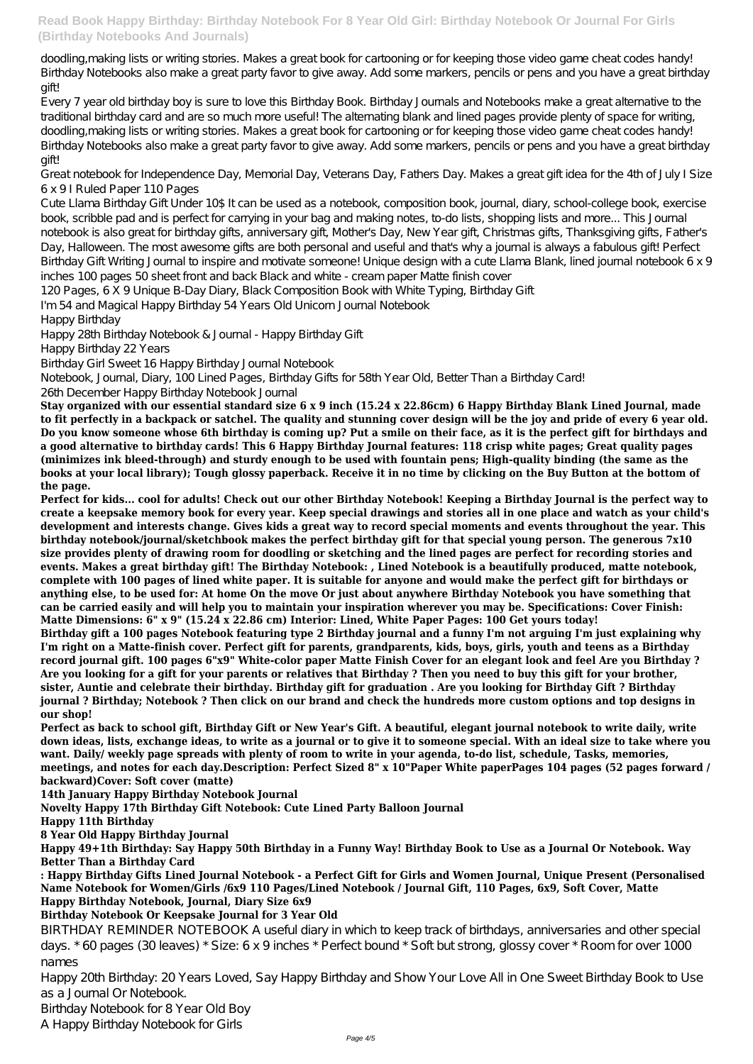**Read Book Happy Birthday: Birthday Notebook For 8 Year Old Girl: Birthday Notebook Or Journal For Girls (Birthday Notebooks And Journals)**

doodling,making lists or writing stories. Makes a great book for cartooning or for keeping those video game cheat codes handy! Birthday Notebooks also make a great party favor to give away. Add some markers, pencils or pens and you have a great birthday gift!

Every 7 year old birthday boy is sure to love this Birthday Book. Birthday Journals and Notebooks make a great alternative to the traditional birthday card and are so much more useful! The alternating blank and lined pages provide plenty of space for writing, doodling,making lists or writing stories. Makes a great book for cartooning or for keeping those video game cheat codes handy! Birthday Notebooks also make a great party favor to give away. Add some markers, pencils or pens and you have a great birthday gift!

Great notebook for Independence Day, Memorial Day, Veterans Day, Fathers Day. Makes a great gift idea for the 4th of July I Size 6 x 9 I Ruled Paper 110 Pages

Cute Llama Birthday Gift Under 10\$ It can be used as a notebook, composition book, journal, diary, school-college book, exercise book, scribble pad and is perfect for carrying in your bag and making notes, to-do lists, shopping lists and more... This Journal notebook is also great for birthday gifts, anniversary gift, Mother's Day, New Year gift, Christmas gifts, Thanksgiving gifts, Father's Day, Halloween. The most awesome gifts are both personal and useful and that's why a journal is always a fabulous gift! Perfect Birthday Gift Writing Journal to inspire and motivate someone! Unique design with a cute Llama Blank, lined journal notebook 6 x 9 inches 100 pages 50 sheet front and back Black and white - cream paper Matte finish cover

120 Pages, 6 X 9 Unique B-Day Diary, Black Composition Book with White Typing, Birthday Gift

I'm 54 and Magical Happy Birthday 54 Years Old Unicorn Journal Notebook

Happy Birthday

Happy 28th Birthday Notebook & Journal - Happy Birthday Gift

Happy Birthday 22 Years

Birthday Girl Sweet 16 Happy Birthday Journal Notebook

Notebook, Journal, Diary, 100 Lined Pages, Birthday Gifts for 58th Year Old, Better Than a Birthday Card!

26th December Happy Birthday Notebook Journal

**Stay organized with our essential standard size 6 x 9 inch (15.24 x 22.86cm) 6 Happy Birthday Blank Lined Journal, made to fit perfectly in a backpack or satchel. The quality and stunning cover design will be the joy and pride of every 6 year old. Do you know someone whose 6th birthday is coming up? Put a smile on their face, as it is the perfect gift for birthdays and a good alternative to birthday cards! This 6 Happy Birthday Journal features: 118 crisp white pages; Great quality pages (minimizes ink bleed-through) and sturdy enough to be used with fountain pens; High-quality binding (the same as the books at your local library); Tough glossy paperback. Receive it in no time by clicking on the Buy Button at the bottom of the page.**

**Perfect for kids... cool for adults! Check out our other Birthday Notebook! Keeping a Birthday Journal is the perfect way to create a keepsake memory book for every year. Keep special drawings and stories all in one place and watch as your child's development and interests change. Gives kids a great way to record special moments and events throughout the year. This birthday notebook/journal/sketchbook makes the perfect birthday gift for that special young person. The generous 7x10 size provides plenty of drawing room for doodling or sketching and the lined pages are perfect for recording stories and events. Makes a great birthday gift! The Birthday Notebook: , Lined Notebook is a beautifully produced, matte notebook, complete with 100 pages of lined white paper. It is suitable for anyone and would make the perfect gift for birthdays or anything else, to be used for: At home On the move Or just about anywhere Birthday Notebook you have something that can be carried easily and will help you to maintain your inspiration wherever you may be. Specifications: Cover Finish: Matte Dimensions: 6" x 9" (15.24 x 22.86 cm) Interior: Lined, White Paper Pages: 100 Get yours today!**

**Birthday gift a 100 pages Notebook featuring type 2 Birthday journal and a funny I'm not arguing I'm just explaining why I'm right on a Matte-finish cover. Perfect gift for parents, grandparents, kids, boys, girls, youth and teens as a Birthday record journal gift. 100 pages 6"x9" White-color paper Matte Finish Cover for an elegant look and feel Are you Birthday ? Are you looking for a gift for your parents or relatives that Birthday ? Then you need to buy this gift for your brother, sister, Auntie and celebrate their birthday. Birthday gift for graduation . Are you looking for Birthday Gift ? Birthday journal ? Birthday; Notebook ? Then click on our brand and check the hundreds more custom options and top designs in our shop!**

**Perfect as back to school gift, Birthday Gift or New Year's Gift. A beautiful, elegant journal notebook to write daily, write down ideas, lists, exchange ideas, to write as a journal or to give it to someone special. With an ideal size to take where you want. Daily/ weekly page spreads with plenty of room to write in your agenda, to-do list, schedule, Tasks, memories, meetings, and notes for each day.Description: Perfect Sized 8" x 10"Paper White paperPages 104 pages (52 pages forward / backward)Cover: Soft cover (matte)**

**14th January Happy Birthday Notebook Journal**

**Novelty Happy 17th Birthday Gift Notebook: Cute Lined Party Balloon Journal Happy 11th Birthday**

**8 Year Old Happy Birthday Journal**

**Happy 49+1th Birthday: Say Happy 50th Birthday in a Funny Way! Birthday Book to Use as a Journal Or Notebook. Way Better Than a Birthday Card**

**: Happy Birthday Gifts Lined Journal Notebook - a Perfect Gift for Girls and Women Journal, Unique Present (Personalised Name Notebook for Women/Girls /6x9 110 Pages/Lined Notebook / Journal Gift, 110 Pages, 6x9, Soft Cover, Matte Happy Birthday Notebook, Journal, Diary Size 6x9**

#### **Birthday Notebook Or Keepsake Journal for 3 Year Old**

BIRTHDAY REMINDER NOTEBOOK A useful diary in which to keep track of birthdays, anniversaries and other special days. \* 60 pages (30 leaves) \* Size: 6 x 9 inches \* Perfect bound \* Soft but strong, glossy cover \* Room for over 1000 names

Happy 20th Birthday: 20 Years Loved, Say Happy Birthday and Show Your Love All in One Sweet Birthday Book to Use as a Journal Or Notebook.

Birthday Notebook for 8 Year Old Boy

A Happy Birthday Notebook for Girls